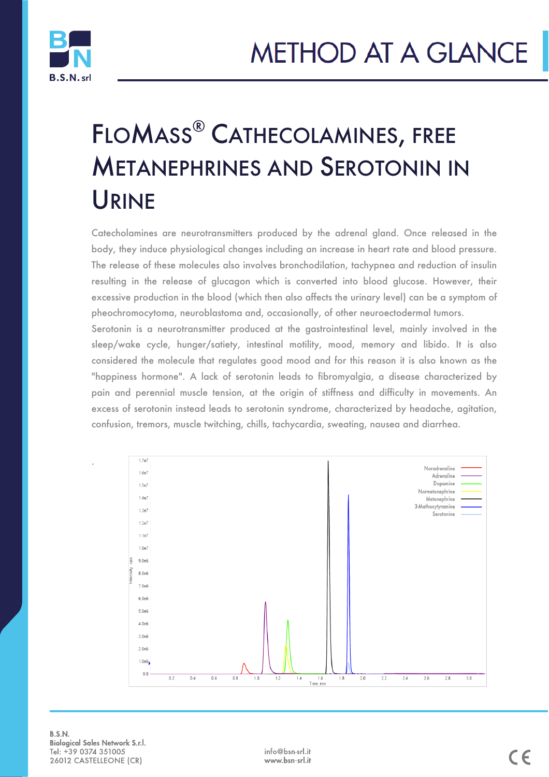# FLOMASS® CATHECOLAMINES, FREE METANEPHRINES AND SEROTONIN IN URINE

Catecholamines are neurotransmitters produced by the adrenal gland. Once released in the body, they induce physiological changes including an increase in heart rate and blood pressure. The release of these molecules also involves bronchodilation, tachypnea and reduction of insulin resulting in the release of glucagon which is converted into blood glucose. However, their excessive production in the blood (which then also affects the urinary level) can be a symptom of pheochromocytoma, neuroblastoma and, occasionally, of other neuroectodermal tumors.

Serotonin is a neurotransmitter produced at the gastrointestinal level, mainly involved in the sleep/wake cycle, hunger/satiety, intestinal motility, mood, memory and libido. It is also considered the molecule that regulates good mood and for this reason it is also known as the "happiness hormone". A lack of serotonin leads to fibromyalgia, a disease characterized by pain and perennial muscle tension, at the origin of stiffness and difficulty in movements. An excess of serotonin instead leads to serotonin syndrome, characterized by headache, agitation, confusion, tremors, muscle twitching, chills, tachycardia, sweating, nausea and diarrhea.



**B.S.N. Biological Sales Network S.r.l.** Tel: +39 0374 351005 26012 CASTELLEONE (CR)

i<br>I

.